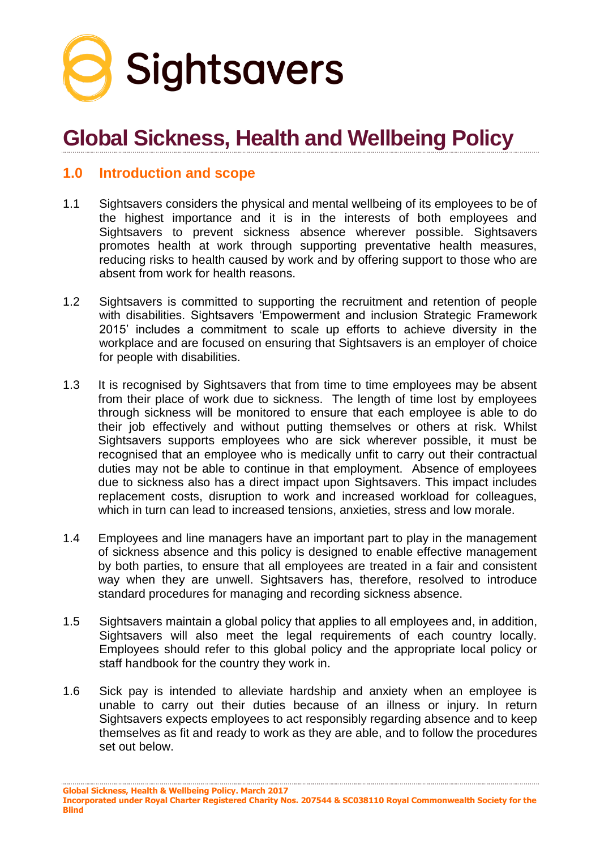

# **Global Sickness, Health and Wellbeing Policy**

# **1.0 Introduction and scope**

- 1.1 Sightsavers considers the physical and mental wellbeing of its employees to be of the highest importance and it is in the interests of both employees and Sightsavers to prevent sickness absence wherever possible. Sightsavers promotes health at work through supporting preventative health measures, reducing risks to health caused by work and by offering support to those who are absent from work for health reasons.
- 1.2 Sightsavers is committed to supporting the recruitment and retention of people with disabilities. Sightsavers 'Empowerment and inclusion Strategic Framework 2015' includes a commitment to scale up efforts to achieve diversity in the workplace and are focused on ensuring that Sightsavers is an employer of choice for people with disabilities.
- 1.3 It is recognised by Sightsavers that from time to time employees may be absent from their place of work due to sickness. The length of time lost by employees through sickness will be monitored to ensure that each employee is able to do their job effectively and without putting themselves or others at risk. Whilst Sightsavers supports employees who are sick wherever possible, it must be recognised that an employee who is medically unfit to carry out their contractual duties may not be able to continue in that employment. Absence of employees due to sickness also has a direct impact upon Sightsavers. This impact includes replacement costs, disruption to work and increased workload for colleagues, which in turn can lead to increased tensions, anxieties, stress and low morale.
- 1.4 Employees and line managers have an important part to play in the management of sickness absence and this policy is designed to enable effective management by both parties, to ensure that all employees are treated in a fair and consistent way when they are unwell. Sightsavers has, therefore, resolved to introduce standard procedures for managing and recording sickness absence.
- 1.5 Sightsavers maintain a global policy that applies to all employees and, in addition, Sightsavers will also meet the legal requirements of each country locally. Employees should refer to this global policy and the appropriate local policy or staff handbook for the country they work in.
- 1.6 Sick pay is intended to alleviate hardship and anxiety when an employee is unable to carry out their duties because of an illness or injury. In return Sightsavers expects employees to act responsibly regarding absence and to keep themselves as fit and ready to work as they are able, and to follow the procedures set out below.

**Global Sickness, Health & Wellbeing Policy. March 2017**

**Incorporated under Royal Charter Registered Charity Nos. 207544 & SC038110 Royal Commonwealth Society for the Blind**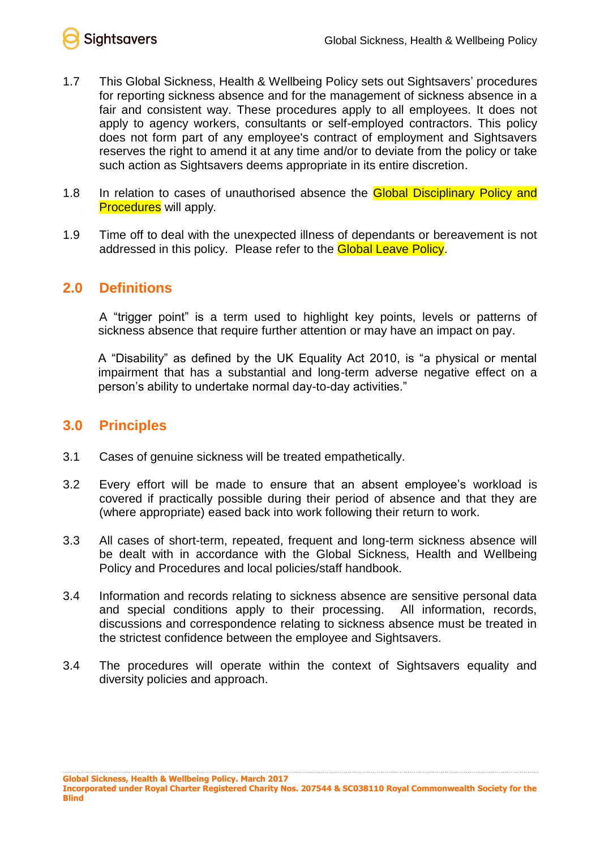

- 1.7 This Global Sickness, Health & Wellbeing Policy sets out Sightsavers' procedures for reporting sickness absence and for the management of sickness absence in a fair and consistent way. These procedures apply to all employees. It does not apply to agency workers, consultants or self-employed contractors. This policy does not form part of any employee's contract of employment and Sightsavers reserves the right to amend it at any time and/or to deviate from the policy or take such action as Sightsavers deems appropriate in its entire discretion.
- 1.8 In relation to cases of unauthorised absence the **Global Disciplinary Policy and** Procedures will apply*.*
- 1.9 Time off to deal with the unexpected illness of dependants or bereavement is not addressed in this policy. Please refer to the **Global Leave Policy**.

# **2.0 Definitions**

A "trigger point" is a term used to highlight key points, levels or patterns of sickness absence that require further attention or may have an impact on pay.

A "Disability" as defined by the UK Equality Act 2010, is "a physical or mental impairment that has a substantial and long-term adverse negative effect on a person's ability to undertake normal day-to-day activities."

# **3.0 Principles**

- 3.1 Cases of genuine sickness will be treated empathetically.
- 3.2 Every effort will be made to ensure that an absent employee's workload is covered if practically possible during their period of absence and that they are (where appropriate) eased back into work following their return to work.
- 3.3 All cases of short-term, repeated, frequent and long-term sickness absence will be dealt with in accordance with the Global Sickness, Health and Wellbeing Policy and Procedures and local policies/staff handbook.
- 3.4 Information and records relating to sickness absence are sensitive personal data and special conditions apply to their processing. All information, records, discussions and correspondence relating to sickness absence must be treated in the strictest confidence between the employee and Sightsavers.
- 3.4 The procedures will operate within the context of Sightsavers equality and diversity policies and approach.

**Incorporated under Royal Charter Registered Charity Nos. 207544 & SC038110 Royal Commonwealth Society for the Blind**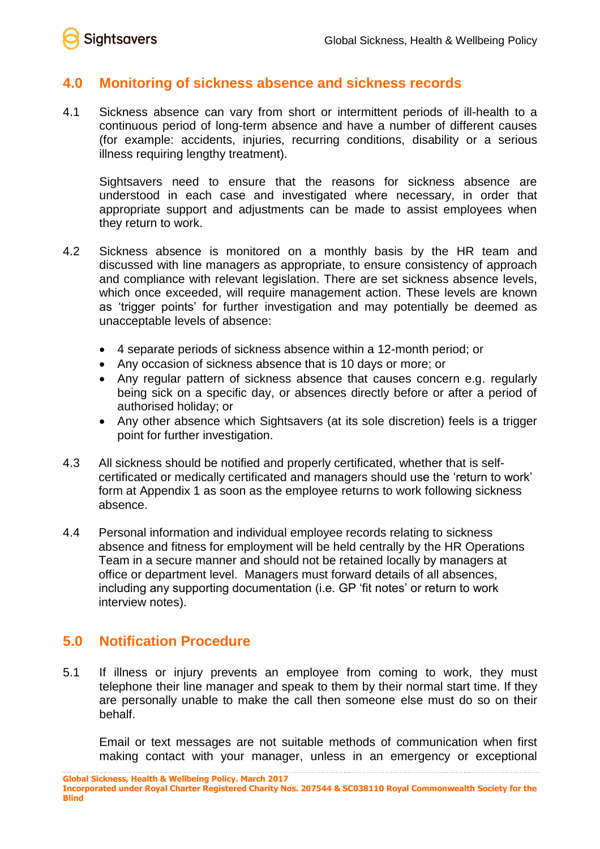

# **4.0 Monitoring of sickness absence and sickness records**

4.1 Sickness absence can vary from short or intermittent periods of ill-health to a continuous period of long-term absence and have a number of different causes (for example: accidents, injuries, recurring conditions, disability or a serious illness requiring lengthy treatment).

Sightsavers need to ensure that the reasons for sickness absence are understood in each case and investigated where necessary, in order that appropriate support and adjustments can be made to assist employees when they return to work.

- 4.2 Sickness absence is monitored on a monthly basis by the HR team and discussed with line managers as appropriate, to ensure consistency of approach and compliance with relevant legislation. There are set sickness absence levels, which once exceeded, will require management action. These levels are known as 'trigger points' for further investigation and may potentially be deemed as unacceptable levels of absence:
	- 4 separate periods of sickness absence within a 12-month period; or
	- Any occasion of sickness absence that is 10 days or more; or
	- Any regular pattern of sickness absence that causes concern e.g. regularly being sick on a specific day, or absences directly before or after a period of authorised holiday; or
	- Any other absence which Sightsavers (at its sole discretion) feels is a trigger point for further investigation.
- 4.3 All sickness should be notified and properly certificated, whether that is selfcertificated or medically certificated and managers should use the 'return to work' form at Appendix 1 as soon as the employee returns to work following sickness absence.
- 4.4 Personal information and individual employee records relating to sickness absence and fitness for employment will be held centrally by the HR Operations Team in a secure manner and should not be retained locally by managers at office or department level. Managers must forward details of all absences, including any supporting documentation (i.e. GP 'fit notes' or return to work interview notes).

# **5.0 Notification Procedure**

5.1 If illness or injury prevents an employee from coming to work, they must telephone their line manager and speak to them by their normal start time. If they are personally unable to make the call then someone else must do so on their behalf.

Email or text messages are not suitable methods of communication when first making contact with your manager, unless in an emergency or exceptional

**Global Sickness, Health & Wellbeing Policy. March 2017 Incorporated under Royal Charter Registered Charity Nos. 207544 & SC038110 Royal Commonwealth Society for the Blind**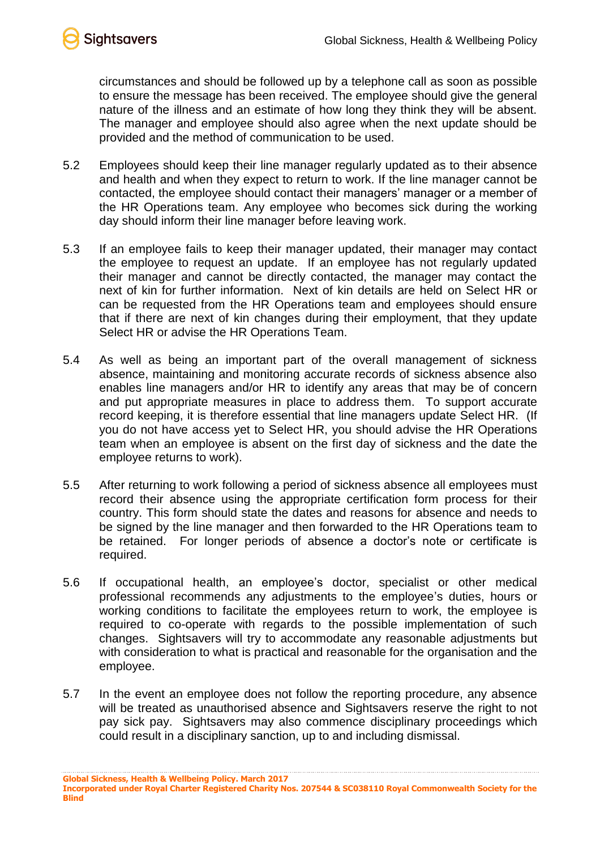

circumstances and should be followed up by a telephone call as soon as possible to ensure the message has been received. The employee should give the general nature of the illness and an estimate of how long they think they will be absent. The manager and employee should also agree when the next update should be provided and the method of communication to be used.

- 5.2 Employees should keep their line manager regularly updated as to their absence and health and when they expect to return to work. If the line manager cannot be contacted, the employee should contact their managers' manager or a member of the HR Operations team. Any employee who becomes sick during the working day should inform their line manager before leaving work.
- 5.3 If an employee fails to keep their manager updated, their manager may contact the employee to request an update. If an employee has not regularly updated their manager and cannot be directly contacted, the manager may contact the next of kin for further information. Next of kin details are held on Select HR or can be requested from the HR Operations team and employees should ensure that if there are next of kin changes during their employment, that they update Select HR or advise the HR Operations Team.
- 5.4 As well as being an important part of the overall management of sickness absence, maintaining and monitoring accurate records of sickness absence also enables line managers and/or HR to identify any areas that may be of concern and put appropriate measures in place to address them. To support accurate record keeping, it is therefore essential that line managers update Select HR. (If you do not have access yet to Select HR, you should advise the HR Operations team when an employee is absent on the first day of sickness and the date the employee returns to work).
- 5.5 After returning to work following a period of sickness absence all employees must record their absence using the appropriate certification form process for their country. This form should state the dates and reasons for absence and needs to be signed by the line manager and then forwarded to the HR Operations team to be retained. For longer periods of absence a doctor's note or certificate is required.
- 5.6 If occupational health, an employee's doctor, specialist or other medical professional recommends any adjustments to the employee's duties, hours or working conditions to facilitate the employees return to work, the employee is required to co-operate with regards to the possible implementation of such changes. Sightsavers will try to accommodate any reasonable adjustments but with consideration to what is practical and reasonable for the organisation and the employee.
- 5.7 In the event an employee does not follow the reporting procedure, any absence will be treated as unauthorised absence and Sightsavers reserve the right to not pay sick pay. Sightsavers may also commence disciplinary proceedings which could result in a disciplinary sanction, up to and including dismissal.

**Incorporated under Royal Charter Registered Charity Nos. 207544 & SC038110 Royal Commonwealth Society for the Blind**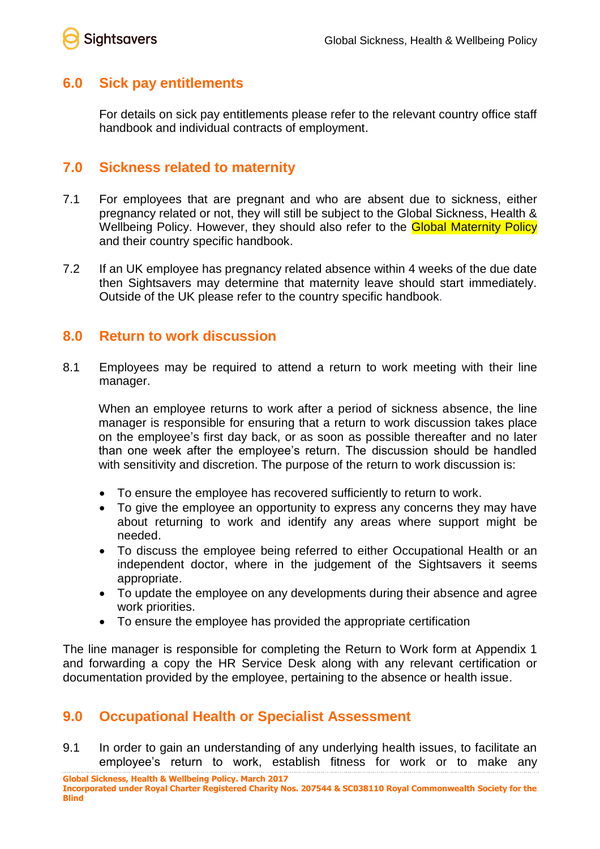

## **6.0 Sick pay entitlements**

For details on sick pay entitlements please refer to the relevant country office staff handbook and individual contracts of employment.

## **7.0 Sickness related to maternity**

- 7.1 For employees that are pregnant and who are absent due to sickness, either pregnancy related or not, they will still be subject to the Global Sickness, Health & Wellbeing Policy. However, they should also refer to the **Global Maternity Policy** and their country specific handbook.
- 7.2 If an UK employee has pregnancy related absence within 4 weeks of the due date then Sightsavers may determine that maternity leave should start immediately. Outside of the UK please refer to the country specific handbook.

## **8.0 Return to work discussion**

8.1 Employees may be required to attend a return to work meeting with their line manager.

When an employee returns to work after a period of sickness absence, the line manager is responsible for ensuring that a return to work discussion takes place on the employee's first day back, or as soon as possible thereafter and no later than one week after the employee's return. The discussion should be handled with sensitivity and discretion. The purpose of the return to work discussion is:

- To ensure the employee has recovered sufficiently to return to work.
- To give the employee an opportunity to express any concerns they may have about returning to work and identify any areas where support might be needed.
- To discuss the employee being referred to either Occupational Health or an independent doctor, where in the judgement of the Sightsavers it seems appropriate.
- To update the employee on any developments during their absence and agree work priorities.
- To ensure the employee has provided the appropriate certification

The line manager is responsible for completing the Return to Work form at Appendix 1 and forwarding a copy the HR Service Desk along with any relevant certification or documentation provided by the employee, pertaining to the absence or health issue.

# **9.0 Occupational Health or Specialist Assessment**

9.1 In order to gain an understanding of any underlying health issues, to facilitate an employee's return to work, establish fitness for work or to make any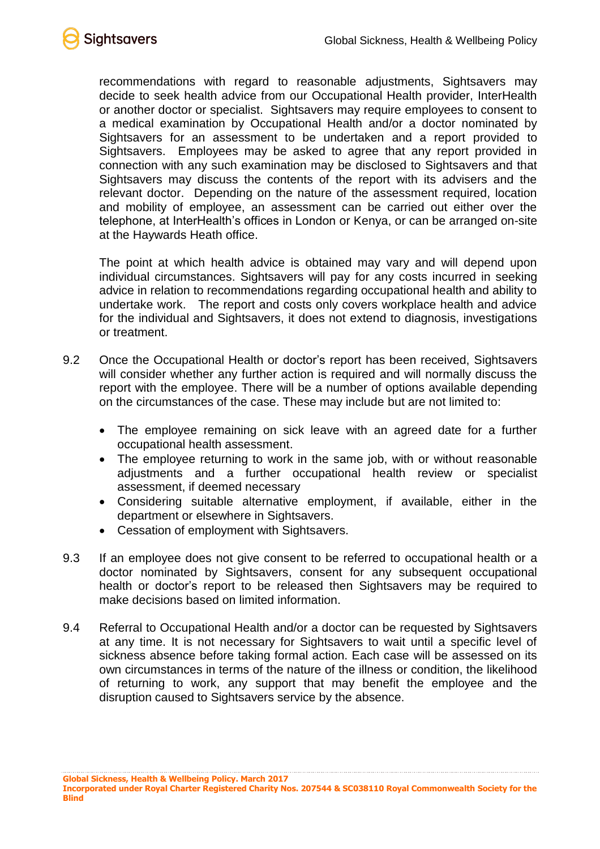

recommendations with regard to reasonable adjustments, Sightsavers may decide to seek health advice from our Occupational Health provider, InterHealth or another doctor or specialist. Sightsavers may require employees to consent to a medical examination by Occupational Health and/or a doctor nominated by Sightsavers for an assessment to be undertaken and a report provided to Sightsavers. Employees may be asked to agree that any report provided in connection with any such examination may be disclosed to Sightsavers and that Sightsavers may discuss the contents of the report with its advisers and the relevant doctor. Depending on the nature of the assessment required, location and mobility of employee, an assessment can be carried out either over the telephone, at InterHealth's offices in London or Kenya, or can be arranged on-site at the Haywards Heath office.

The point at which health advice is obtained may vary and will depend upon individual circumstances. Sightsavers will pay for any costs incurred in seeking advice in relation to recommendations regarding occupational health and ability to undertake work. The report and costs only covers workplace health and advice for the individual and Sightsavers, it does not extend to diagnosis, investigations or treatment.

- 9.2 Once the Occupational Health or doctor's report has been received, Sightsavers will consider whether any further action is required and will normally discuss the report with the employee. There will be a number of options available depending on the circumstances of the case. These may include but are not limited to:
	- The employee remaining on sick leave with an agreed date for a further occupational health assessment.
	- The employee returning to work in the same job, with or without reasonable adjustments and a further occupational health review or specialist assessment, if deemed necessary
	- Considering suitable alternative employment, if available, either in the department or elsewhere in Sightsavers.
	- Cessation of employment with Sightsavers.
- 9.3 If an employee does not give consent to be referred to occupational health or a doctor nominated by Sightsavers, consent for any subsequent occupational health or doctor's report to be released then Sightsavers may be required to make decisions based on limited information.
- 9.4 Referral to Occupational Health and/or a doctor can be requested by Sightsavers at any time. It is not necessary for Sightsavers to wait until a specific level of sickness absence before taking formal action. Each case will be assessed on its own circumstances in terms of the nature of the illness or condition, the likelihood of returning to work, any support that may benefit the employee and the disruption caused to Sightsavers service by the absence.

**Incorporated under Royal Charter Registered Charity Nos. 207544 & SC038110 Royal Commonwealth Society for the Blind**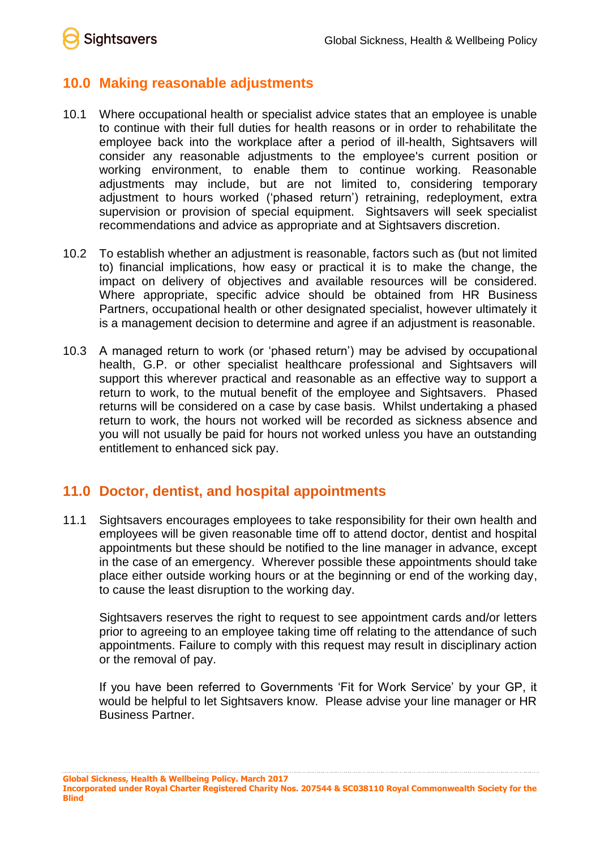**Sightsavers** 

# **10.0 Making reasonable adjustments**

- 10.1 Where occupational health or specialist advice states that an employee is unable to continue with their full duties for health reasons or in order to rehabilitate the employee back into the workplace after a period of ill-health, Sightsavers will consider any reasonable adjustments to the employee's current position or working environment, to enable them to continue working. Reasonable adjustments may include, but are not limited to, considering temporary adjustment to hours worked ('phased return') retraining, redeployment, extra supervision or provision of special equipment. Sightsavers will seek specialist recommendations and advice as appropriate and at Sightsavers discretion.
- 10.2 To establish whether an adjustment is reasonable, factors such as (but not limited to) financial implications, how easy or practical it is to make the change, the impact on delivery of objectives and available resources will be considered. Where appropriate, specific advice should be obtained from HR Business Partners, occupational health or other designated specialist, however ultimately it is a management decision to determine and agree if an adjustment is reasonable.
- 10.3 A managed return to work (or 'phased return') may be advised by occupational health, G.P. or other specialist healthcare professional and Sightsavers will support this wherever practical and reasonable as an effective way to support a return to work, to the mutual benefit of the employee and Sightsavers. Phased returns will be considered on a case by case basis. Whilst undertaking a phased return to work, the hours not worked will be recorded as sickness absence and you will not usually be paid for hours not worked unless you have an outstanding entitlement to enhanced sick pay.

# **11.0 Doctor, dentist, and hospital appointments**

11.1 Sightsavers encourages employees to take responsibility for their own health and employees will be given reasonable time off to attend doctor, dentist and hospital appointments but these should be notified to the line manager in advance, except in the case of an emergency. Wherever possible these appointments should take place either outside working hours or at the beginning or end of the working day, to cause the least disruption to the working day.

Sightsavers reserves the right to request to see appointment cards and/or letters prior to agreeing to an employee taking time off relating to the attendance of such appointments. Failure to comply with this request may result in disciplinary action or the removal of pay.

If you have been referred to Governments 'Fit for Work Service' by your GP, it would be helpful to let Sightsavers know. Please advise your line manager or HR Business Partner.

**Global Sickness, Health & Wellbeing Policy. March 2017**

**Incorporated under Royal Charter Registered Charity Nos. 207544 & SC038110 Royal Commonwealth Society for the Blind**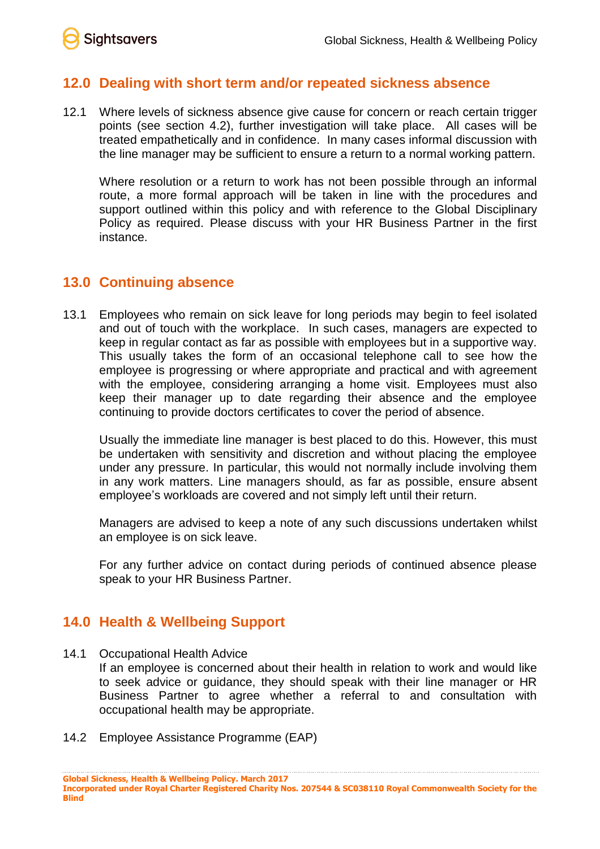

# **12.0 Dealing with short term and/or repeated sickness absence**

12.1 Where levels of sickness absence give cause for concern or reach certain trigger points (see section 4.2), further investigation will take place. All cases will be treated empathetically and in confidence. In many cases informal discussion with the line manager may be sufficient to ensure a return to a normal working pattern.

Where resolution or a return to work has not been possible through an informal route, a more formal approach will be taken in line with the procedures and support outlined within this policy and with reference to the Global Disciplinary Policy as required. Please discuss with your HR Business Partner in the first instance.

# **13.0 Continuing absence**

13.1 Employees who remain on sick leave for long periods may begin to feel isolated and out of touch with the workplace. In such cases, managers are expected to keep in regular contact as far as possible with employees but in a supportive way. This usually takes the form of an occasional telephone call to see how the employee is progressing or where appropriate and practical and with agreement with the employee, considering arranging a home visit. Employees must also keep their manager up to date regarding their absence and the employee continuing to provide doctors certificates to cover the period of absence.

Usually the immediate line manager is best placed to do this. However, this must be undertaken with sensitivity and discretion and without placing the employee under any pressure. In particular, this would not normally include involving them in any work matters. Line managers should, as far as possible, ensure absent employee's workloads are covered and not simply left until their return.

Managers are advised to keep a note of any such discussions undertaken whilst an employee is on sick leave.

For any further advice on contact during periods of continued absence please speak to your HR Business Partner.

# **14.0 Health & Wellbeing Support**

14.1 Occupational Health Advice

If an employee is concerned about their health in relation to work and would like to seek advice or guidance, they should speak with their line manager or HR Business Partner to agree whether a referral to and consultation with occupational health may be appropriate.

14.2 Employee Assistance Programme (EAP)

**Incorporated under Royal Charter Registered Charity Nos. 207544 & SC038110 Royal Commonwealth Society for the Blind**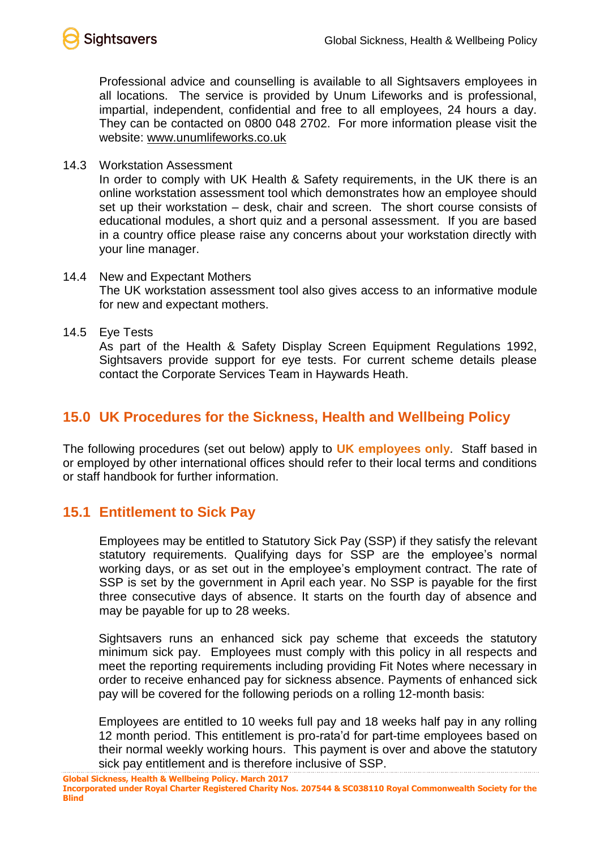

Professional advice and counselling is available to all Sightsavers employees in all locations. The service is provided by Unum Lifeworks and is professional, impartial, independent, confidential and free to all employees, 24 hours a day. They can be contacted on 0800 048 2702. For more information please visit the website: [www.unumlifeworks.co.uk](http://www.unumlifeworks.co.uk/)

14.3 Workstation Assessment

In order to comply with UK Health & Safety requirements, in the UK there is an online workstation assessment tool which demonstrates how an employee should set up their workstation – desk, chair and screen. The short course consists of educational modules, a short quiz and a personal assessment. If you are based in a country office please raise any concerns about your workstation directly with your line manager.

- 14.4 New and Expectant Mothers The UK workstation assessment tool also gives access to an informative module for new and expectant mothers.
- 14.5 Eye Tests

As part of the Health & Safety Display Screen Equipment Regulations 1992, Sightsavers provide support for eye tests. For current scheme details please contact the Corporate Services Team in Haywards Heath.

# **15.0 UK Procedures for the Sickness, Health and Wellbeing Policy**

The following procedures (set out below) apply to **UK employees only**. Staff based in or employed by other international offices should refer to their local terms and conditions or staff handbook for further information.

# **15.1 Entitlement to Sick Pay**

Employees may be entitled to Statutory Sick Pay (SSP) if they satisfy the relevant statutory requirements. Qualifying days for SSP are the employee's normal working days, or as set out in the employee's employment contract. The rate of SSP is set by the government in April each year. No SSP is payable for the first three consecutive days of absence. It starts on the fourth day of absence and may be payable for up to 28 weeks.

Sightsavers runs an enhanced sick pay scheme that exceeds the statutory minimum sick pay. Employees must comply with this policy in all respects and meet the reporting requirements including providing Fit Notes where necessary in order to receive enhanced pay for sickness absence. Payments of enhanced sick pay will be covered for the following periods on a rolling 12-month basis:

Employees are entitled to 10 weeks full pay and 18 weeks half pay in any rolling 12 month period. This entitlement is pro-rata'd for part-time employees based on their normal weekly working hours. This payment is over and above the statutory sick pay entitlement and is therefore inclusive of SSP.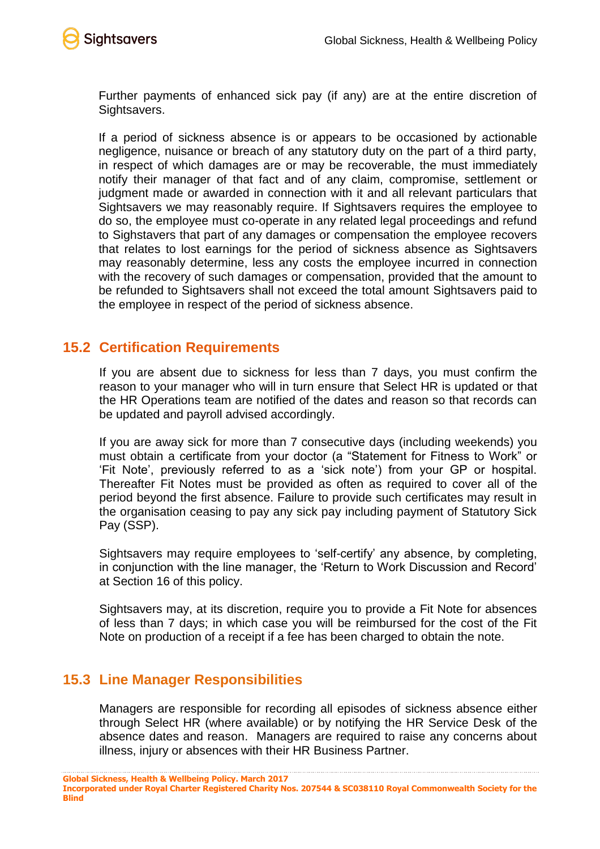

Further payments of enhanced sick pay (if any) are at the entire discretion of Sightsavers.

If a period of sickness absence is or appears to be occasioned by actionable negligence, nuisance or breach of any statutory duty on the part of a third party, in respect of which damages are or may be recoverable, the must immediately notify their manager of that fact and of any claim, compromise, settlement or judgment made or awarded in connection with it and all relevant particulars that Sightsavers we may reasonably require. If Sightsavers requires the employee to do so, the employee must co-operate in any related legal proceedings and refund to Sighstavers that part of any damages or compensation the employee recovers that relates to lost earnings for the period of sickness absence as Sightsavers may reasonably determine, less any costs the employee incurred in connection with the recovery of such damages or compensation, provided that the amount to be refunded to Sightsavers shall not exceed the total amount Sightsavers paid to the employee in respect of the period of sickness absence.

# **15.2 Certification Requirements**

If you are absent due to sickness for less than 7 days, you must confirm the reason to your manager who will in turn ensure that Select HR is updated or that the HR Operations team are notified of the dates and reason so that records can be updated and payroll advised accordingly.

If you are away sick for more than 7 consecutive days (including weekends) you must obtain a certificate from your doctor (a "Statement for Fitness to Work" or 'Fit Note', previously referred to as a 'sick note') from your GP or hospital. Thereafter Fit Notes must be provided as often as required to cover all of the period beyond the first absence. Failure to provide such certificates may result in the organisation ceasing to pay any sick pay including payment of Statutory Sick Pay (SSP).

Sightsavers may require employees to 'self-certify' any absence, by completing, in conjunction with the line manager, the 'Return to Work Discussion and Record' at Section 16 of this policy.

Sightsavers may, at its discretion, require you to provide a Fit Note for absences of less than 7 days; in which case you will be reimbursed for the cost of the Fit Note on production of a receipt if a fee has been charged to obtain the note.

# **15.3 Line Manager Responsibilities**

Managers are responsible for recording all episodes of sickness absence either through Select HR (where available) or by notifying the HR Service Desk of the absence dates and reason. Managers are required to raise any concerns about illness, injury or absences with their HR Business Partner.

**Incorporated under Royal Charter Registered Charity Nos. 207544 & SC038110 Royal Commonwealth Society for the Blind**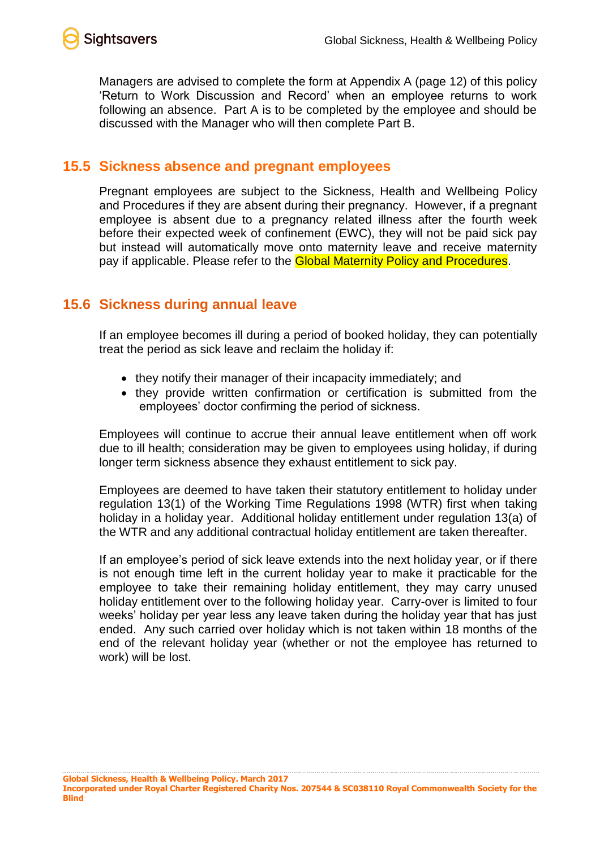

Managers are advised to complete the form at Appendix A (page 12) of this policy 'Return to Work Discussion and Record' when an employee returns to work following an absence. Part A is to be completed by the employee and should be discussed with the Manager who will then complete Part B.

#### **15.5 Sickness absence and pregnant employees**

Pregnant employees are subject to the Sickness, Health and Wellbeing Policy and Procedures if they are absent during their pregnancy. However, if a pregnant employee is absent due to a pregnancy related illness after the fourth week before their expected week of confinement (EWC), they will not be paid sick pay but instead will automatically move onto maternity leave and receive maternity pay if applicable. Please refer to the **Global Maternity Policy and Procedures**.

# **15.6 Sickness during annual leave**

If an employee becomes ill during a period of booked holiday, they can potentially treat the period as sick leave and reclaim the holiday if:

- they notify their manager of their incapacity immediately; and
- they provide written confirmation or certification is submitted from the employees' doctor confirming the period of sickness.

Employees will continue to accrue their annual leave entitlement when off work due to ill health; consideration may be given to employees using holiday, if during longer term sickness absence they exhaust entitlement to sick pay.

Employees are deemed to have taken their statutory entitlement to holiday under regulation 13(1) of the Working Time Regulations 1998 (WTR) first when taking holiday in a holiday year. Additional holiday entitlement under regulation 13(a) of the WTR and any additional contractual holiday entitlement are taken thereafter.

If an employee's period of sick leave extends into the next holiday year, or if there is not enough time left in the current holiday year to make it practicable for the employee to take their remaining holiday entitlement, they may carry unused holiday entitlement over to the following holiday year. Carry-over is limited to four weeks' holiday per year less any leave taken during the holiday year that has just ended. Any such carried over holiday which is not taken within 18 months of the end of the relevant holiday year (whether or not the employee has returned to work) will be lost.

**Global Sickness, Health & Wellbeing Policy. March 2017 Incorporated under Royal Charter Registered Charity Nos. 207544 & SC038110 Royal Commonwealth Society for the Blind**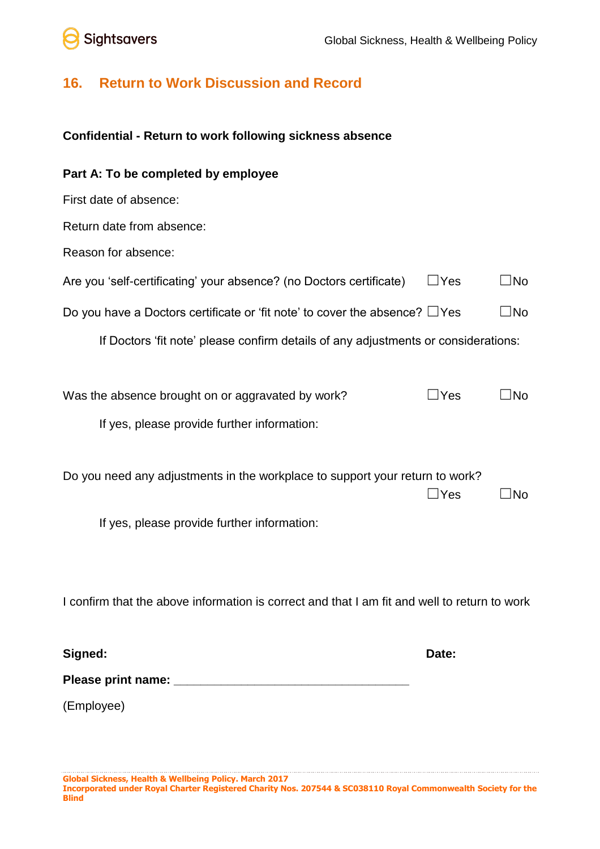# **Sightsavers**

# **16. Return to Work Discussion and Record**

#### **Confidential - Return to work following sickness absence**

# **Part A: To be completed by employee** First date of absence: Return date from absence: Reason for absence: Are you 'self-certificating' your absence? (no Doctors certificate)  $\Box$  Yes  $\Box$  No Do you have a Doctors certificate or 'fit note' to cover the absence?  $\Box$  Yes  $\Box$  No If Doctors 'fit note' please confirm details of any adjustments or considerations: Was the absence brought on or aggravated by work?  $\square$  Yes  $\square$  No If yes, please provide further information: Do you need any adjustments in the workplace to support your return to work?  $\Box$ Yes  $\Box$ No If yes, please provide further information:

I confirm that the above information is correct and that I am fit and well to return to work

| Signed:  | Date: |
|----------|-------|
| $\sim$ . |       |

**Please print name: \_\_\_\_\_\_\_\_\_\_\_\_\_\_\_\_\_\_\_\_\_\_\_\_\_\_\_\_\_\_\_\_\_\_\_**

(Employee)